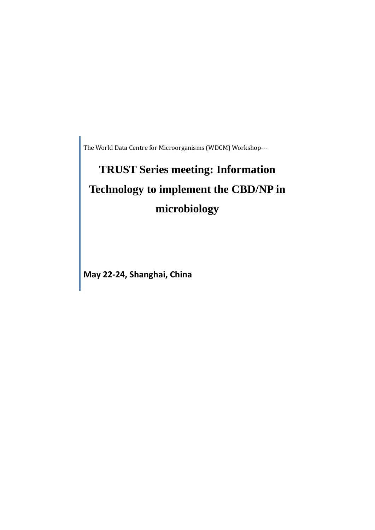The World Data Centre for Microorganisms (WDCM) Workshop---

## **TRUST Series meeting: Information Technology to implement the CBD/NP in microbiology**

**May 22-24, Shanghai, China**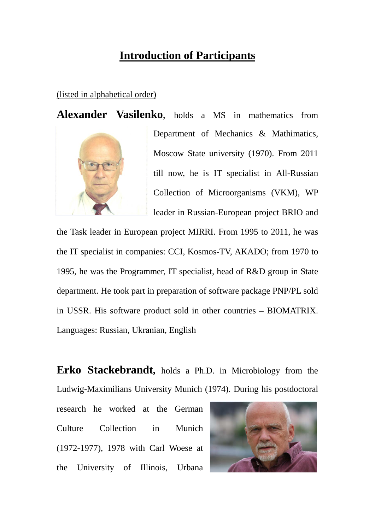## **Introduction of Participants**

## (listed in alphabetical order)

**Alexander Vasilenko**, holds a MS in mathematics from



Department of Mechanics & Mathimatics, Moscow State university (1970). From 2011 till now, he is IT specialist in All-Russian Collection of Microorganisms (VKM), WP leader in Russian-European project BRIO and

the Task leader in European project MIRRI. From 1995 to 2011, he was the IT specialist in companies: CCI, Kosmos-TV, AKADO; from 1970 to 1995, he was the Programmer, IT specialist, head of R&D group in State department. He took part in preparation of software package PNP/PL sold in USSR. His software product sold in other countries – BIOMATRIX. Languages: Russian, Ukranian, English

**Erko Stackebrandt,** holds a Ph.D. in Microbiology from the Ludwig-Maximilians University Munich (1974). During his postdoctoral

research he worked at the German Culture Collection in Munich (1972-1977), 1978 with Carl Woese at the University of Illinois, Urbana

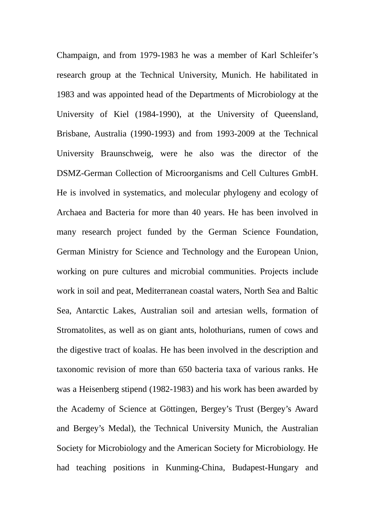Champaign, and from 1979-1983 he was a member of Karl Schleifer's research group at the Technical University, Munich. He habilitated in 1983 and was appointed head of the Departments of Microbiology at the University of Kiel (1984-1990), at the University of Queensland, Brisbane, Australia (1990-1993) and from 1993-2009 at the Technical University Braunschweig, were he also was the director of the DSMZ-German Collection of Microorganisms and Cell Cultures GmbH. He is involved in systematics, and molecular phylogeny and ecology of Archaea and Bacteria for more than 40 years. He has been involved in many research project funded by the German Science Foundation, German Ministry for Science and Technology and the European Union, working on pure cultures and microbial communities. Projects include work in soil and peat, Mediterranean coastal waters, North Sea and Baltic Sea, Antarctic Lakes, Australian soil and artesian wells, formation of Stromatolites, as well as on giant ants, holothurians, rumen of cows and the digestive tract of koalas. He has been involved in the description and taxonomic revision of more than 650 bacteria taxa of various ranks. He was a Heisenberg stipend (1982-1983) and his work has been awarded by the Academy of Science at Göttingen, Bergey's Trust (Bergey's Award and Bergey's Medal), the Technical University Munich, the Australian Society for Microbiology and the American Society for Microbiology. He had teaching positions in Kunming-China, Budapest-Hungary and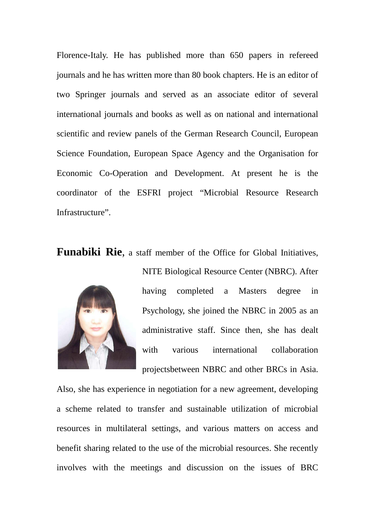Florence-Italy. He has published more than 650 papers in refereed journals and he has written more than 80 book chapters. He is an editor of two Springer journals and served as an associate editor of several international journals and books as well as on national and international scientific and review panels of the German Research Council, European Science Foundation, European Space Agency and the Organisation for Economic Co-Operation and Development. At present he is the coordinator of the ESFRI project "Microbial Resource Research Infrastructure".

**Funabiki Rie.** a staff member of the Office for Global Initiatives.



NITE Biological Resource Center (NBRC). After having completed a Masters degree in Psychology, she joined the NBRC in 2005 as an administrative staff. Since then, she has dealt with various international collaboration projectsbetween NBRC and other BRCs in Asia.

Also, she has experience in negotiation for a new agreement, developing a scheme related to transfer and sustainable utilization of microbial resources in multilateral settings, and various matters on access and benefit sharing related to the use of the microbial resources. She recently involves with the meetings and discussion on the issues of BRC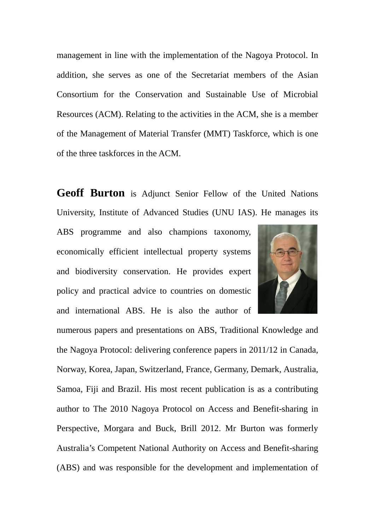management in line with the implementation of the Nagoya Protocol. In addition, she serves as one of the Secretariat members of the Asian Consortium for the Conservation and Sustainable Use of Microbial Resources (ACM). Relating to the activities in the ACM, she is a member of the Management of Material Transfer (MMT) Taskforce, which is one of the three taskforces in the ACM.

**Geoff Burton** is Adjunct Senior Fellow of the United Nations University, Institute of Advanced Studies (UNU IAS). He manages its

ABS programme and also champions taxonomy, economically efficient intellectual property systems and biodiversity conservation. He provides expert policy and practical advice to countries on domestic and international ABS. He is also the author of



numerous papers and presentations on ABS, Traditional Knowledge and the Nagoya Protocol: delivering conference papers in 2011/12 in Canada, Norway, Korea, Japan, Switzerland, France, Germany, Demark, Australia, Samoa, Fiji and Brazil. His most recent publication is as a contributing author to The 2010 Nagoya Protocol on Access and Benefit-sharing in Perspective, Morgara and Buck, Brill 2012. Mr Burton was formerly Australia's Competent National Authority on Access and Benefit-sharing (ABS) and was responsible for the development and implementation of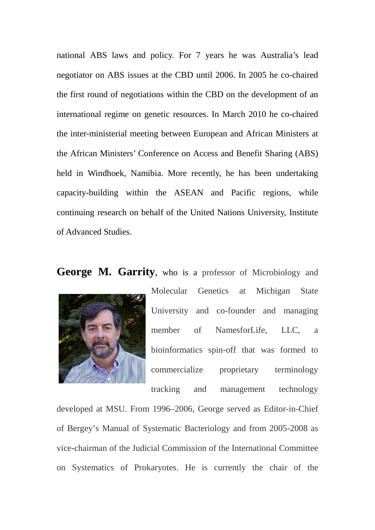national ABS laws and policy. For 7 years he was Australia's lead negotiator on ABS issues at the CBD until 2006. In 2005 he co-chaired the first round of negotiations within the CBD on the development of an international regime on genetic resources. In March 2010 he co-chaired the inter-ministerial meeting between European and African Ministers at the African Ministers' Conference on Access and Benefit Sharing (ABS) held in Windhoek, Namibia. More recently, he has been undertaking capacity-building within the ASEAN and Pacific regions, while continuing research on behalf of the United Nations University, Institute of Advanced Studies.

## **George M. Garrity**, who is a professor of Microbiology and



Molecular Genetics at Michigan State University and co-founder and managing member of NamesforLife, LLC, a bioinformatics spin-off that was formed to commercialize proprietary terminology

tracking and management technology

developed at MSU. From 1996–2006, George served as Editor-in-Chief of Bergey's Manual of Systematic Bacteriology and from 2005-2008 as vice-chairman of the Judicial Commission of the International Committee on Systematics of Prokaryotes. He is currently the chair of the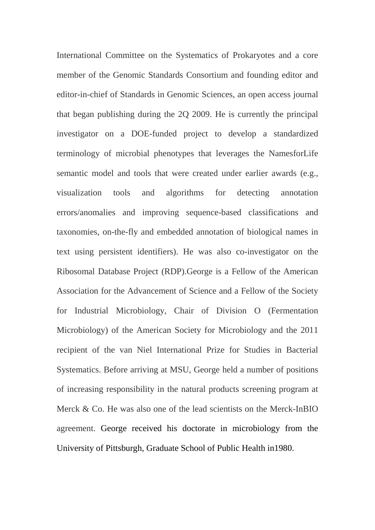International Committee on the Systematics of Prokaryotes and a core member of the Genomic Standards Consortium and founding editor and editor-in-chief of Standards in Genomic Sciences, an open access journal that began publishing during the 2Q 2009. He is currently the principal investigator on a DOE-funded project to develop a standardized terminology of microbial phenotypes that leverages the NamesforLife semantic model and tools that were created under earlier awards (e.g., visualization tools and algorithms for detecting annotation errors/anomalies and improving sequence-based classifications and taxonomies, on-the-fly and embedded annotation of biological names in text using persistent identifiers). He was also co-investigator on the Ribosomal Database Project (RDP).George is a Fellow of the American Association for the Advancement of Science and a Fellow of the Society for Industrial Microbiology, Chair of Division O (Fermentation Microbiology) of the American Society for Microbiology and the 2011 recipient of the van Niel International Prize for Studies in Bacterial Systematics. Before arriving at MSU, George held a number of positions of increasing responsibility in the natural products screening program at Merck & Co. He was also one of the lead scientists on the Merck-InBIO agreement. George received his doctorate in microbiology from the University of Pittsburgh, Graduate School of Public Health in1980.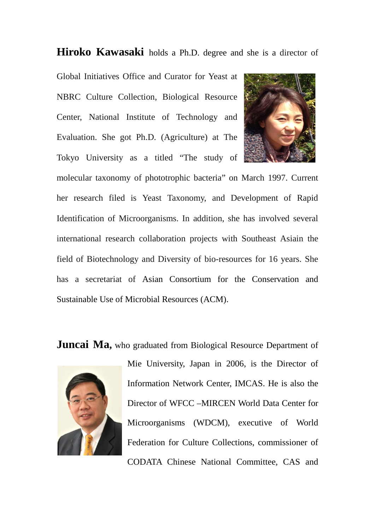**Hiroko Kawasaki** holds a Ph.D. degree and she is a director of

Global Initiatives Office and Curator for Yeast at NBRC Culture Collection, Biological Resource Center, National Institute of Technology and Evaluation. She got Ph.D. (Agriculture) at The Tokyo University as a titled "The study of



molecular taxonomy of phototrophic bacteria" on March 1997. Current her research filed is Yeast Taxonomy, and Development of Rapid Identification of Microorganisms. In addition, she has involved several international research collaboration projects with Southeast Asiain the field of Biotechnology and Diversity of bio-resources for 16 years. She has a secretariat of Asian Consortium for the Conservation and Sustainable Use of Microbial Resources (ACM).

**Juncai Ma,** who graduated from Biological Resource Department of



Mie University, Japan in 2006, is the Director of Information Network Center, IMCAS. He is also the Director of [WFCC –MIRCEN World Data Center for](http://wdcm.nig.ac.jp/)  [Microorganisms \(WDCM\),](http://wdcm.nig.ac.jp/) executive of World Federation for Culture Collections, commissioner of CODATA Chinese National Committee, CAS and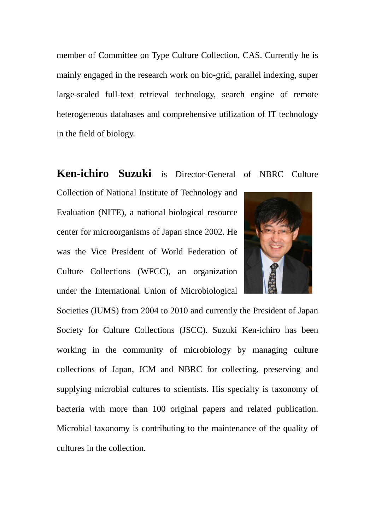member of Committee on Type Culture Collection, CAS. Currently he is mainly engaged in the research work on bio-grid, parallel indexing, super large-scaled full-text retrieval technology, search engine of remote heterogeneous databases and comprehensive utilization of IT technology in the field of biology.

**Ken-ichiro Suzuki** is Director-General of NBRC Culture Collection of National Institute of Technology and Evaluation (NITE), a national biological resource center for microorganisms of Japan since 2002. He was the Vice President of World Federation of Culture Collections (WFCC), an organization under the International Union of Microbiological



Societies (IUMS) from 2004 to 2010 and currently the President of Japan Society for Culture Collections (JSCC). Suzuki Ken-ichiro has been working in the community of microbiology by managing culture collections of Japan, JCM and NBRC for collecting, preserving and supplying microbial cultures to scientists. His specialty is taxonomy of bacteria with more than 100 original papers and related publication. Microbial taxonomy is contributing to the maintenance of the quality of cultures in the collection.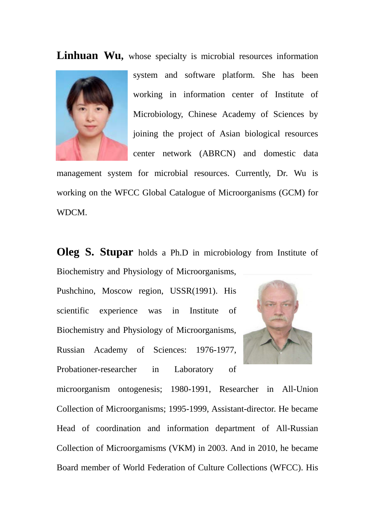Linhuan Wu, whose specialty is microbial resources information



system and software platform. She has been working in information center of Institute of Microbiology, Chinese Academy of Sciences by joining the project of Asian biological resources center network (ABRCN) and domestic data

management system for microbial resources. Currently, Dr. Wu is working on the WFCC Global Catalogue of Microorganisms (GCM) for WDCM.

**Oleg S. Stupar** holds a Ph.D in microbiology from Institute of Biochemistry and Physiology of Microorganisms,

Pushchino, Moscow region, USSR(1991). His scientific experience was in Institute of Biochemistry and Physiology of Microorganisms, Russian Academy of Sciences: 1976-1977, Probationer-researcher in Laboratory of



microorganism ontogenesis; 1980-1991, Researcher in All-Union Collection of Microorganisms; 1995-1999, Assistant-director. He became Head of coordination and information department of All-Russian Collection of Microorgamisms (VKM) in 2003. And in 2010, he became Board member of World Federation of Culture Collections (WFCC). His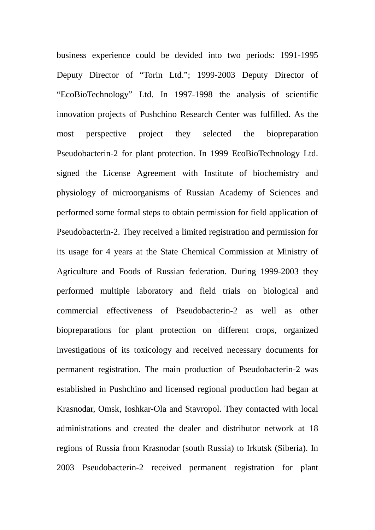business experience could be devided into two periods: 1991-1995 Deputy Director of "Torin Ltd."; 1999-2003 Deputy Director of "EcoBioTechnology" Ltd. In 1997-1998 the analysis of scientific innovation projects of Pushchino Research Center was fulfilled. As the most perspective project they selected the biopreparation Pseudobacterin-2 for plant protection. In 1999 EcoBioTechnology Ltd. signed the License Agreement with Institute of biochemistry and physiology of microorganisms of Russian Academy of Sciences and performed some formal steps to obtain permission for field application of Pseudobacterin-2. They received a limited registration and permission for its usage for 4 years at the State Chemical Commission at Ministry of Agriculture and Foods of Russian federation. During 1999-2003 they performed multiple laboratory and field trials on biological and commercial effectiveness of Pseudobacterin-2 as well as other biopreparations for plant protection on different crops, organized investigations of its toxicology and received necessary documents for permanent registration. The main production of Pseudobacterin-2 was established in Pushchino and licensed regional production had began at Krasnodar, Omsk, Ioshkar-Ola and Stavropol. They contacted with local administrations and created the dealer and distributor network at 18 regions of Russia from Krasnodar (south Russia) to Irkutsk (Siberia). In 2003 Pseudobacterin-2 received permanent registration for plant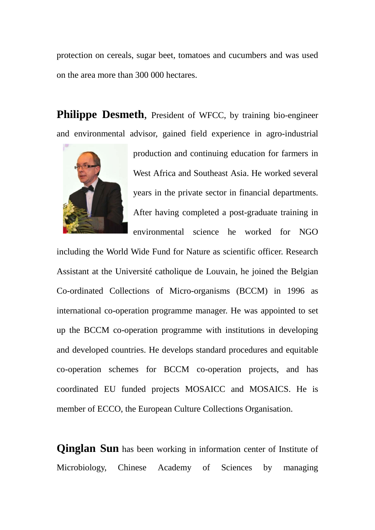protection on cereals, sugar beet, tomatoes and cucumbers and was used on the area more than 300 000 hectares.

Philippe Desmeth, President of WFCC, by training bio-engineer and environmental advisor, gained field experience in agro-industrial



production and continuing education for farmers in West Africa and Southeast Asia. He worked several years in the private sector in financial departments. After having completed a post-graduate training in environmental science he worked for NGO

including the World Wide Fund for Nature as scientific officer. Research Assistant at the Université catholique de Louvain, he joined the Belgian Co-ordinated Collections of Micro-organisms (BCCM) in 1996 as international co-operation programme manager. He was appointed to set up the BCCM co-operation programme with institutions in developing and developed countries. He develops standard procedures and equitable co-operation schemes for BCCM co-operation projects, and has coordinated EU funded projects MOSAICC and MOSAICS. He is member of ECCO, the European Culture Collections Organisation.

**Qinglan Sun** has been working in information center of Institute of Microbiology, Chinese Academy of Sciences by managing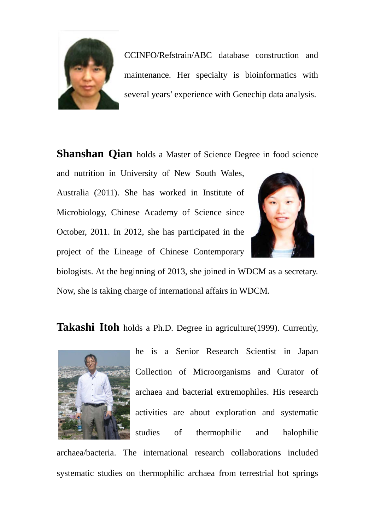

CCINFO/Refstrain/ABC database construction and maintenance. Her specialty is bioinformatics with several years' experience with Genechip data analysis.

**Shanshan Qian** holds a Master of Science Degree in food science

and nutrition in University of New South Wales, Australia (2011). She has worked in Institute of Microbiology, Chinese Academy of Science since October, 2011. In 2012, she has participated in the project of the Lineage of Chinese Contemporary



biologists. At the beginning of 2013, she joined in WDCM as a secretary. Now, she is taking charge of international affairs in WDCM.

**Takashi Itoh** holds a Ph.D. Degree in agriculture(1999). Currently,



he is a Senior Research Scientist in Japan Collection of Microorganisms and Curator of archaea and bacterial extremophiles. His research activities are about exploration and systematic studies of thermophilic and halophilic

archaea/bacteria. The international research collaborations included systematic studies on thermophilic archaea from terrestrial hot springs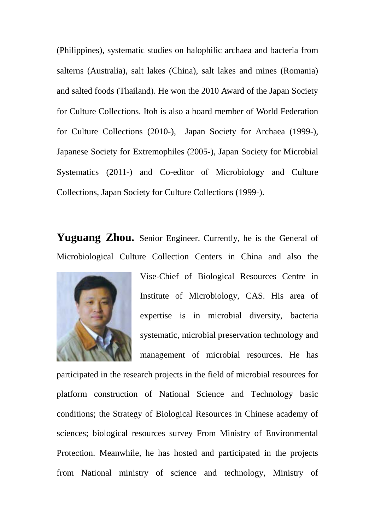(Philippines), systematic studies on halophilic archaea and bacteria from salterns (Australia), salt lakes (China), salt lakes and mines (Romania) and salted foods (Thailand). He won the 2010 Award of the Japan Society for Culture Collections. Itoh is also a board member of World Federation for Culture Collections (2010-), Japan Society for Archaea (1999-), Japanese Society for Extremophiles (2005-), Japan Society for Microbial Systematics (2011-) and Co-editor of Microbiology and Culture Collections, Japan Society for Culture Collections (1999-).

**Yuguang Zhou.** Senior Engineer. Currently, he is the General of Microbiological Culture Collection Centers in China and also the



Vise-Chief of Biological Resources Centre in Institute of Microbiology, CAS. His area of expertise is in microbial diversity, bacteria systematic, microbial preservation technology and management of microbial resources. He has

participated in the research projects in the field of microbial resources for platform construction of National Science and Technology basic conditions; the Strategy of Biological Resources in Chinese academy of sciences; biological resources survey From Ministry of Environmental Protection. Meanwhile, he has hosted and participated in the projects from National ministry of science and technology, Ministry of